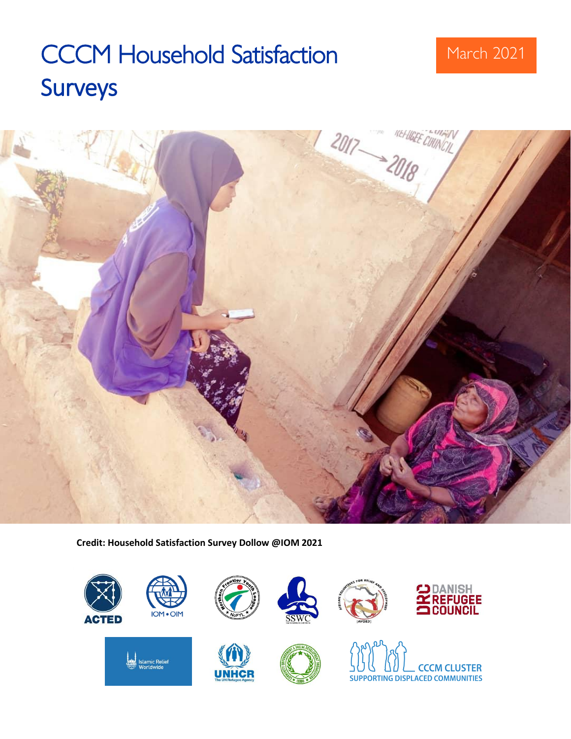# CCCM Household Satisfaction March 2021 Surveys



**Credit: Household Satisfaction Survey Dollow @IOM 2021**

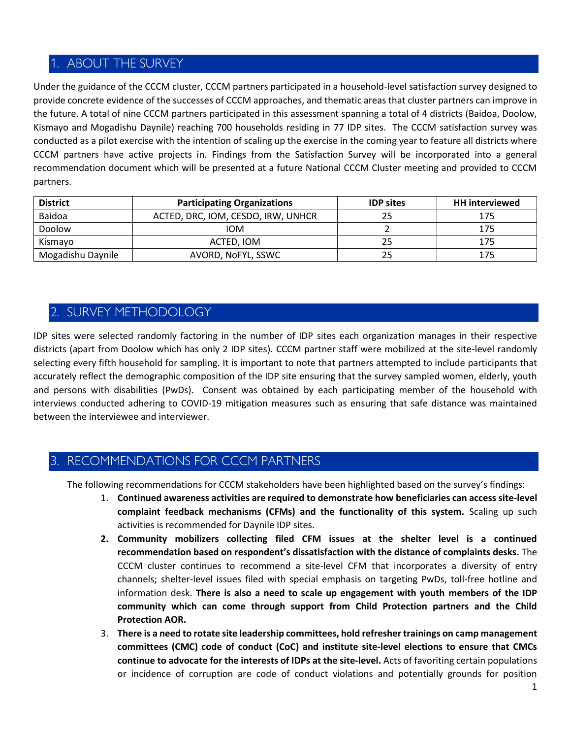# 1. ABOUT THE SURVEY

Under the guidance of the CCCM cluster, CCCM partners participated in a household-level satisfaction survey designed to provide concrete evidence of the successes of CCCM approaches, and thematic areas that cluster partners can improve in the future. A total of nine CCCM partners participated in this assessment spanning a total of 4 districts (Baidoa, Doolow, Kismayo and Mogadishu Daynile) reaching 700 households residing in 77 IDP sites. The CCCM satisfaction survey was conducted as a pilot exercise with the intention of scaling up the exercise in the coming year to feature all districts where CCCM partners have active projects in. Findings from the Satisfaction Survey will be incorporated into a general recommendation document which will be presented at a future National CCCM Cluster meeting and provided to CCCM partners.

| <b>District</b>   | <b>Participating Organizations</b> | <b>IDP sites</b> | <b>HH</b> interviewed |
|-------------------|------------------------------------|------------------|-----------------------|
| Baidoa            | ACTED, DRC, IOM, CESDO, IRW, UNHCR | 25               |                       |
| Doolow            | <b>IOM</b>                         |                  | 175                   |
| Kismavo           | ACTED. IOM                         | 25               | 175                   |
| Mogadishu Daynile | AVORD, NoFYL, SSWC                 | 25               |                       |

# 2. SURVEY METHODOLOGY

IDP sites were selected randomly factoring in the number of IDP sites each organization manages in their respective districts (apart from Doolow which has only 2 IDP sites). CCCM partner staff were mobilized at the site-level randomly selecting every fifth household for sampling. It is important to note that partners attempted to include participants that accurately reflect the demographic composition of the IDP site ensuring that the survey sampled women, elderly, youth and persons with disabilities (PwDs). Consent was obtained by each participating member of the household with interviews conducted adhering to COVID-19 mitigation measures such as ensuring that safe distance was maintained between the interviewee and interviewer.

# RECOMMENDATIONS FOR CCCM PARTNERS

The following recommendations for CCCM stakeholders have been highlighted based on the survey's findings:

- 1. **Continued awareness activities are required to demonstrate how beneficiaries can access site-level complaint feedback mechanisms (CFMs) and the functionality of this system.** Scaling up such activities is recommended for Daynile IDP sites.
- **2. Community mobilizers collecting filed CFM issues at the shelter level is a continued recommendation based on respondent's dissatisfaction with the distance of complaints desks.** The CCCM cluster continues to recommend a site-level CFM that incorporates a diversity of entry channels; shelter-level issues filed with special emphasis on targeting PwDs, toll-free hotline and information desk. **There is also a need to scale up engagement with youth members of the IDP community which can come through support from Child Protection partners and the Child Protection AOR.**
- 3. **There is a need to rotate site leadership committees, hold refresher trainings on camp management committees (CMC) code of conduct (CoC) and institute site-level elections to ensure that CMCs continue to advocate for the interests of IDPs at the site-level.** Acts of favoriting certain populations or incidence of corruption are code of conduct violations and potentially grounds for position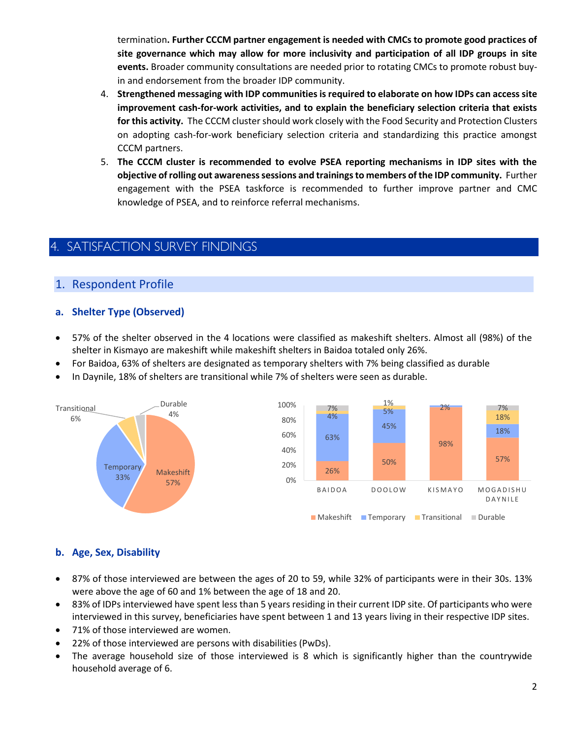termination**. Further CCCM partner engagement is needed with CMCs to promote good practices of site governance which may allow for more inclusivity and participation of all IDP groups in site events.** Broader community consultations are needed prior to rotating CMCs to promote robust buyin and endorsement from the broader IDP community.

- 4. **Strengthened messaging with IDP communities is required to elaborate on how IDPs can access site improvement cash-for-work activities, and to explain the beneficiary selection criteria that exists for this activity.** The CCCM cluster should work closely with the Food Security and Protection Clusters on adopting cash-for-work beneficiary selection criteria and standardizing this practice amongst CCCM partners.
- 5. **The CCCM cluster is recommended to evolve PSEA reporting mechanisms in IDP sites with the objective of rolling out awareness sessions and trainings to members of the IDP community.** Further engagement with the PSEA taskforce is recommended to further improve partner and CMC knowledge of PSEA, and to reinforce referral mechanisms.

# **SATISFACTION SURVEY FINDINGS**

# 1. Respondent Profile

# **a. Shelter Type (Observed)**

- 57% of the shelter observed in the 4 locations were classified as makeshift shelters. Almost all (98%) of the shelter in Kismayo are makeshift while makeshift shelters in Baidoa totaled only 26%.
- For Baidoa, 63% of shelters are designated as temporary shelters with 7% being classified as durable
- In Daynile, 18% of shelters are transitional while 7% of shelters were seen as durable.



# **b. Age, Sex, Disability**

- 87% of those interviewed are between the ages of 20 to 59, while 32% of participants were in their 30s. 13% were above the age of 60 and 1% between the age of 18 and 20.
- 83% of IDPs interviewed have spent less than 5 years residing in their current IDP site. Of participants who were interviewed in this survey, beneficiaries have spent between 1 and 13 years living in their respective IDP sites.
- 71% of those interviewed are women.
- 22% of those interviewed are persons with disabilities (PwDs).
- The average household size of those interviewed is 8 which is significantly higher than the countrywide household average of 6.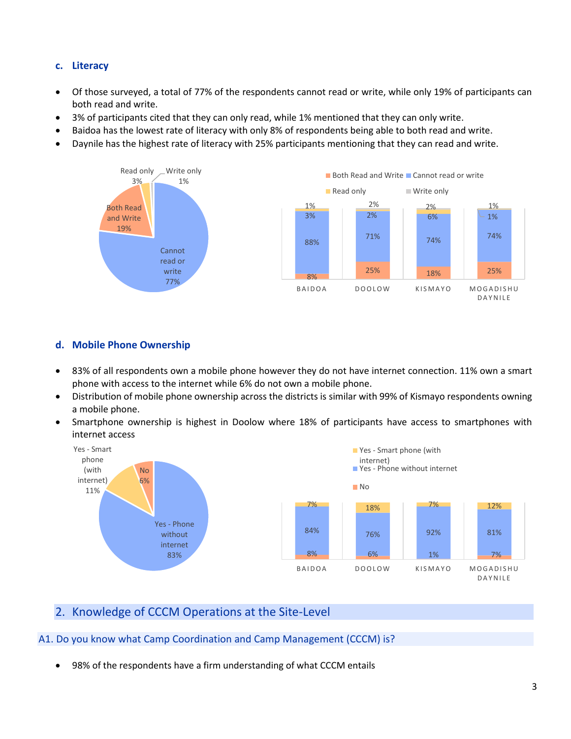# **c. Literacy**

- Of those surveyed, a total of 77% of the respondents cannot read or write, while only 19% of participants can both read and write.
- 3% of participants cited that they can only read, while 1% mentioned that they can only write.
- Baidoa has the lowest rate of literacy with only 8% of respondents being able to both read and write.
- Daynile has the highest rate of literacy with 25% participants mentioning that they can read and write.



# **d. Mobile Phone Ownership**

- 83% of all respondents own a mobile phone however they do not have internet connection. 11% own a smart phone with access to the internet while 6% do not own a mobile phone.
- Distribution of mobile phone ownership across the districts is similar with 99% of Kismayo respondents owning a mobile phone.
- Smartphone ownership is highest in Doolow where 18% of participants have access to smartphones with internet access



# 2. Knowledge of CCCM Operations at the Site-Level

#### A1. Do you know what Camp Coordination and Camp Management (CCCM) is?

• 98% of the respondents have a firm understanding of what CCCM entails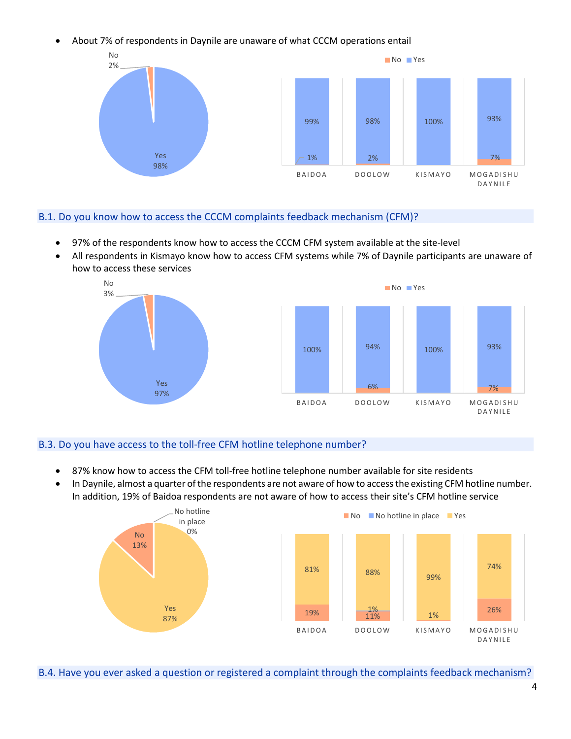• About 7% of respondents in Daynile are unaware of what CCCM operations entail



#### B.1. Do you know how to access the CCCM complaints feedback mechanism (CFM)?

- 97% of the respondents know how to access the CCCM CFM system available at the site-level
- All respondents in Kismayo know how to access CFM systems while 7% of Daynile participants are unaware of how to access these services



# B.3. Do you have access to the toll-free CFM hotline telephone number?

- 87% know how to access the CFM toll-free hotline telephone number available for site residents
- In Daynile, almost a quarter of the respondents are not aware of how to access the existing CFM hotline number. In addition, 19% of Baidoa respondents are not aware of how to access their site's CFM hotline service



B.4. Have you ever asked a question or registered a complaint through the complaints feedback mechanism?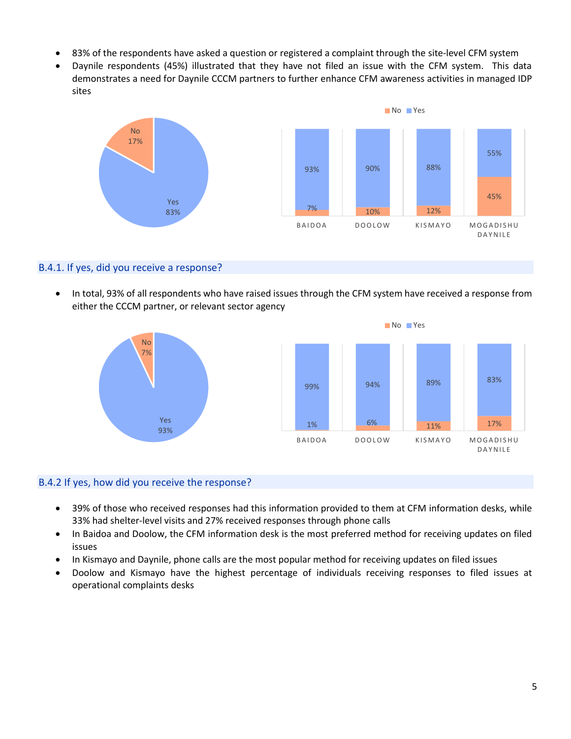- 83% of the respondents have asked a question or registered a complaint through the site-level CFM system
- Daynile respondents (45%) illustrated that they have not filed an issue with the CFM system. This data demonstrates a need for Daynile CCCM partners to further enhance CFM awareness activities in managed IDP sites



## B.4.1. If yes, did you receive a response?

• In total, 93% of all respondents who have raised issues through the CFM system have received a response from either the CCCM partner, or relevant sector agency



#### B.4.2 If yes, how did you receive the response?

- 39% of those who received responses had this information provided to them at CFM information desks, while 33% had shelter-level visits and 27% received responses through phone calls
- In Baidoa and Doolow, the CFM information desk is the most preferred method for receiving updates on filed issues
- In Kismayo and Daynile, phone calls are the most popular method for receiving updates on filed issues
- Doolow and Kismayo have the highest percentage of individuals receiving responses to filed issues at operational complaints desks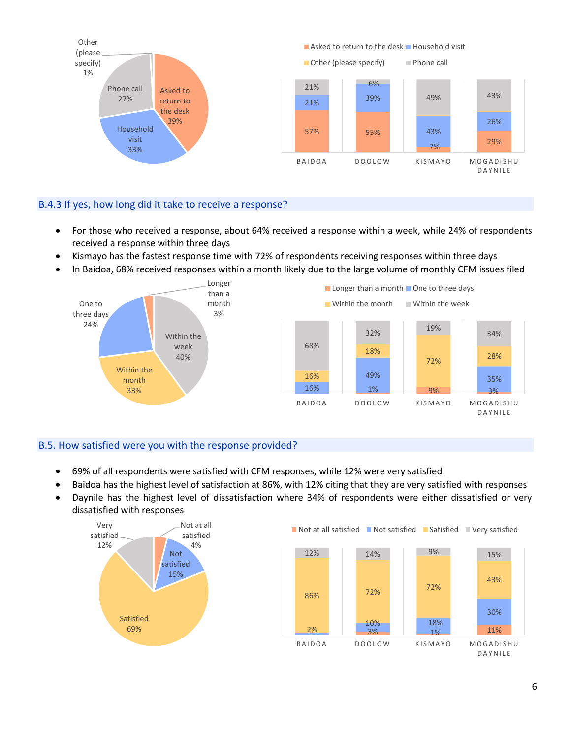

# B.4.3 If yes, how long did it take to receive a response?

- For those who received a response, about 64% received a response within a week, while 24% of respondents received a response within three days
- Kismayo has the fastest response time with 72% of respondents receiving responses within three days
- In Baidoa, 68% received responses within a month likely due to the large volume of monthly CFM issues filed



# B.5. How satisfied were you with the response provided?

- 69% of all respondents were satisfied with CFM responses, while 12% were very satisfied
- Baidoa has the highest level of satisfaction at 86%, with 12% citing that they are very satisfied with responses
- Daynile has the highest level of dissatisfaction where 34% of respondents were either dissatisfied or very dissatisfied with responses

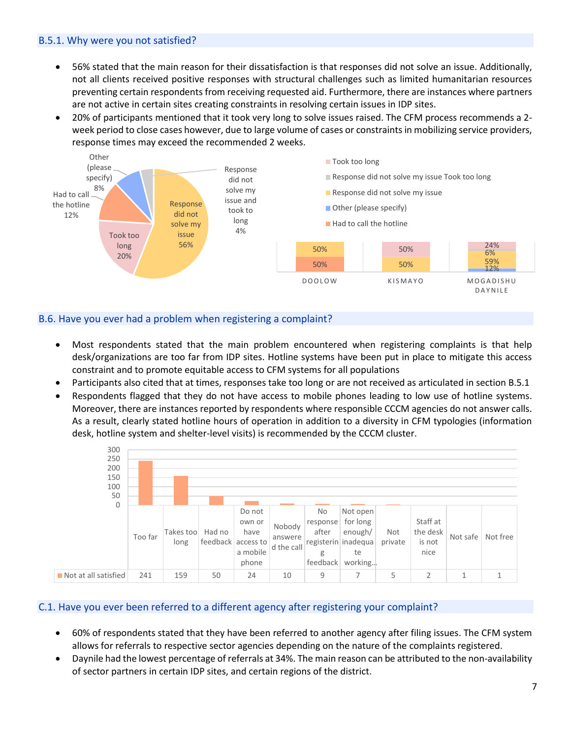#### B.5.1. Why were you not satisfied?

- 56% stated that the main reason for their dissatisfaction is that responses did not solve an issue. Additionally, not all clients received positive responses with structural challenges such as limited humanitarian resources preventing certain respondents from receiving requested aid. Furthermore, there are instances where partners are not active in certain sites creating constraints in resolving certain issues in IDP sites.
- 20% of participants mentioned that it took very long to solve issues raised. The CFM process recommends a 2 week period to close cases however, due to large volume of cases or constraints in mobilizing service providers, response times may exceed the recommended 2 weeks.



# B.6. Have you ever had a problem when registering a complaint?

- Most respondents stated that the main problem encountered when registering complaints is that help desk/organizations are too far from IDP sites. Hotline systems have been put in place to mitigate this access constraint and to promote equitable access to CFM systems for all populations
- Participants also cited that at times, responses take too long or are not received as articulated in section B.5.1
- Respondents flagged that they do not have access to mobile phones leading to low use of hotline systems. Moreover, there are instances reported by respondents where responsible CCCM agencies do not answer calls. As a result, clearly stated hotline hours of operation in addition to a diversity in CFM typologies (information desk, hotline system and shelter-level visits) is recommended by the CCCM cluster.



# C.1. Have you ever been referred to a different agency after registering your complaint?

- 60% of respondents stated that they have been referred to another agency after filing issues. The CFM system allows for referrals to respective sector agencies depending on the nature of the complaints registered.
- Daynile had the lowest percentage of referrals at 34%. The main reason can be attributed to the non-availability of sector partners in certain IDP sites, and certain regions of the district.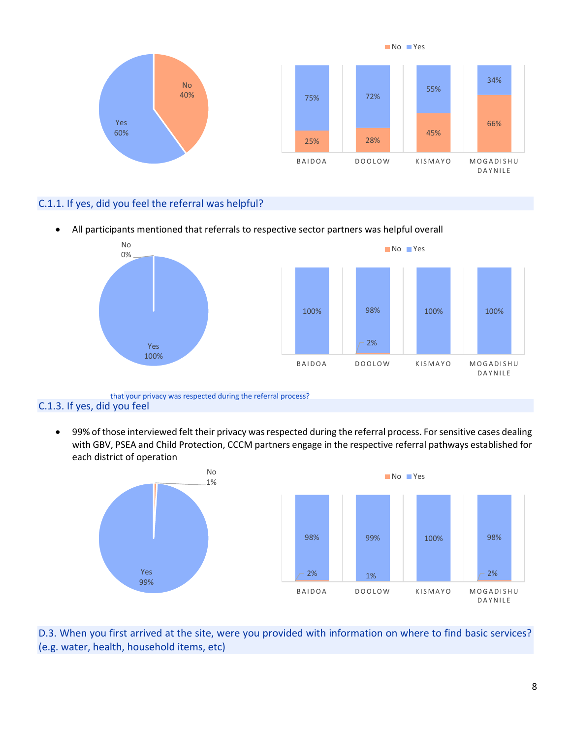

# C.1.1. If yes, did you feel the referral was helpful?

• All participants mentioned that referrals to respective sector partners was helpful overall



#### C.1.3. If yes, did you feel that your privacy was respected during the referral process?

• 99% of those interviewed felt their privacy was respected during the referral process. For sensitive cases dealing with GBV, PSEA and Child Protection, CCCM partners engage in the respective referral pathways established for each district of operation



D.3. When you first arrived at the site, were you provided with information on where to find basic services? (e.g. water, health, household items, etc)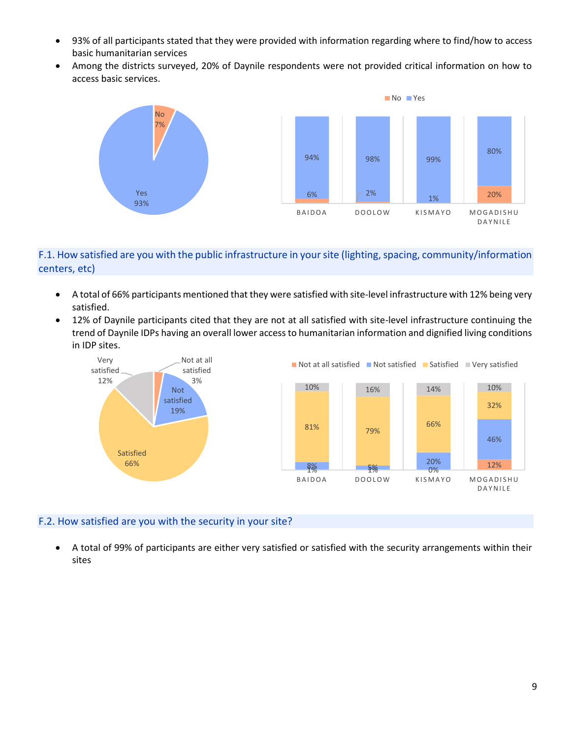- 93% of all participants stated that they were provided with information regarding where to find/how to access basic humanitarian services
- Among the districts surveyed, 20% of Daynile respondents were not provided critical information on how to access basic services.



# F.1. How satisfied are you with the public infrastructure in your site (lighting, spacing, community/information centers, etc)

- A total of 66% participants mentioned that they were satisfied with site-level infrastructure with 12% being very satisfied.
- 12% of Daynile participants cited that they are not at all satisfied with site-level infrastructure continuing the trend of Daynile IDPs having an overall lower access to humanitarian information and dignified living conditions in IDP sites.



# F.2. How satisfied are you with the security in your site?

• A total of 99% of participants are either very satisfied or satisfied with the security arrangements within their sites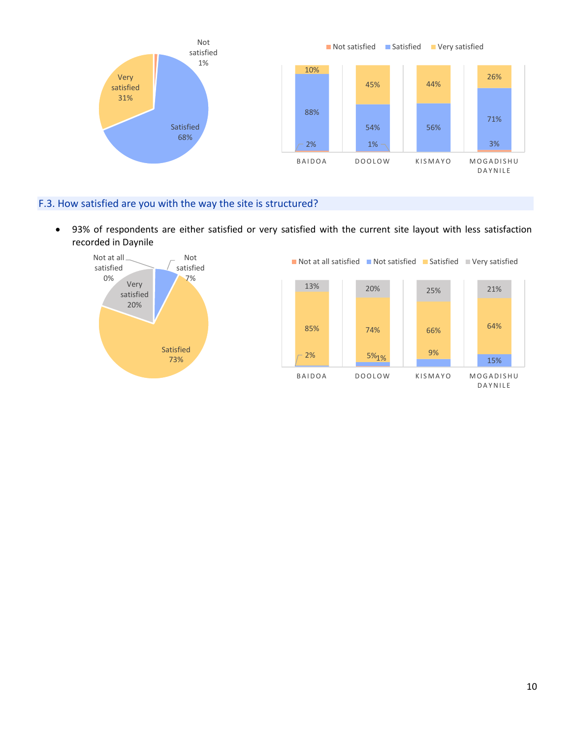

# F.3. How satisfied are you with the way the site is structured?

• 93% of respondents are either satisfied or very satisfied with the current site layout with less satisfaction recorded in Daynile

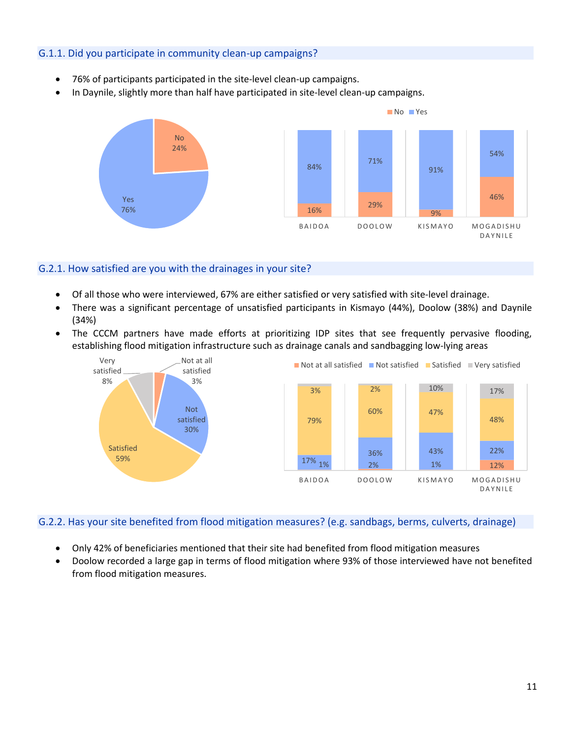## G.1.1. Did you participate in community clean-up campaigns?

- 76% of participants participated in the site-level clean-up campaigns.
- In Daynile, slightly more than half have participated in site-level clean-up campaigns.



#### G.2.1. How satisfied are you with the drainages in your site?

- Of all those who were interviewed, 67% are either satisfied or very satisfied with site-level drainage.
- There was a significant percentage of unsatisfied participants in Kismayo (44%), Doolow (38%) and Daynile (34%)
- The CCCM partners have made efforts at prioritizing IDP sites that see frequently pervasive flooding, establishing flood mitigation infrastructure such as drainage canals and sandbagging low-lying areas



#### G.2.2. Has your site benefited from flood mitigation measures? (e.g. sandbags, berms, culverts, drainage)

- Only 42% of beneficiaries mentioned that their site had benefited from flood mitigation measures
- Doolow recorded a large gap in terms of flood mitigation where 93% of those interviewed have not benefited from flood mitigation measures.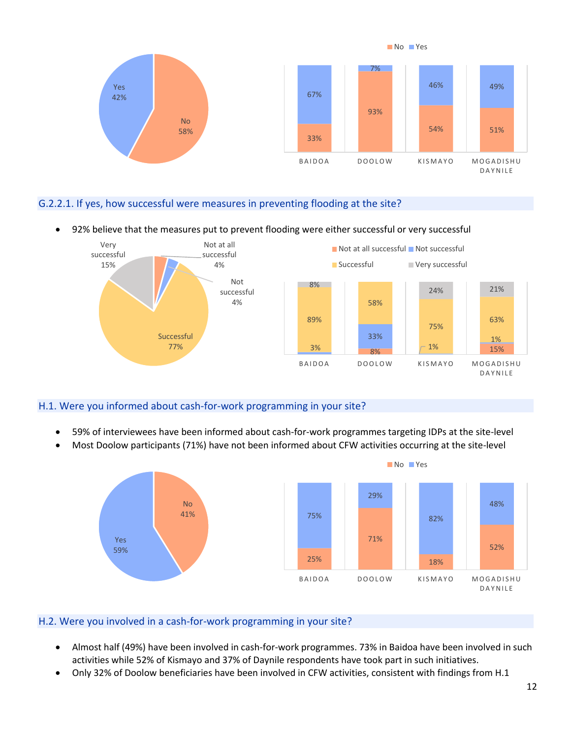

# G.2.2.1. If yes, how successful were measures in preventing flooding at the site?

#### • 92% believe that the measures put to prevent flooding were either successful or very successful



# H.1. Were you informed about cash-for-work programming in your site?

- 59% of interviewees have been informed about cash-for-work programmes targeting IDPs at the site-level
- Most Doolow participants (71%) have not been informed about CFW activities occurring at the site-level



#### H.2. Were you involved in a cash-for-work programming in your site?

- Almost half (49%) have been involved in cash-for-work programmes. 73% in Baidoa have been involved in such activities while 52% of Kismayo and 37% of Daynile respondents have took part in such initiatives.
- Only 32% of Doolow beneficiaries have been involved in CFW activities, consistent with findings from H.1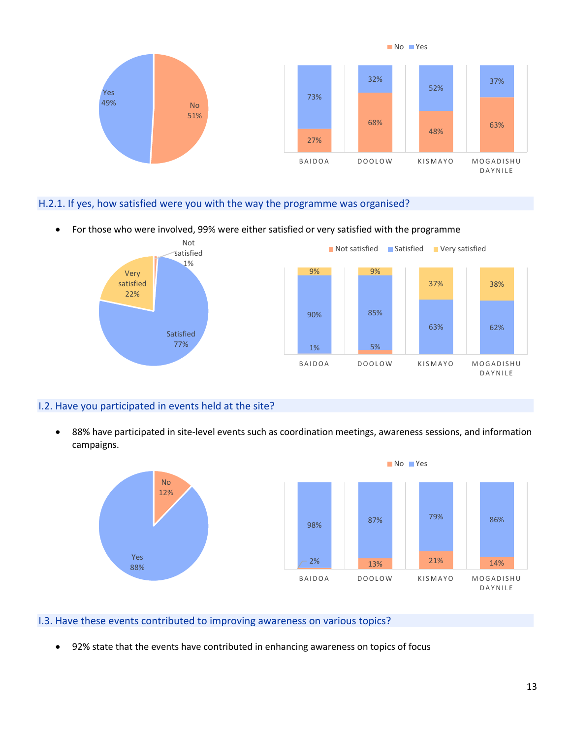

#### H.2.1. If yes, how satisfied were you with the way the programme was organised?

• For those who were involved, 99% were either satisfied or very satisfied with the programme



# I.2. Have you participated in events held at the site?

• 88% have participated in site-level events such as coordination meetings, awareness sessions, and information campaigns.



#### I.3. Have these events contributed to improving awareness on various topics?

• 92% state that the events have contributed in enhancing awareness on topics of focus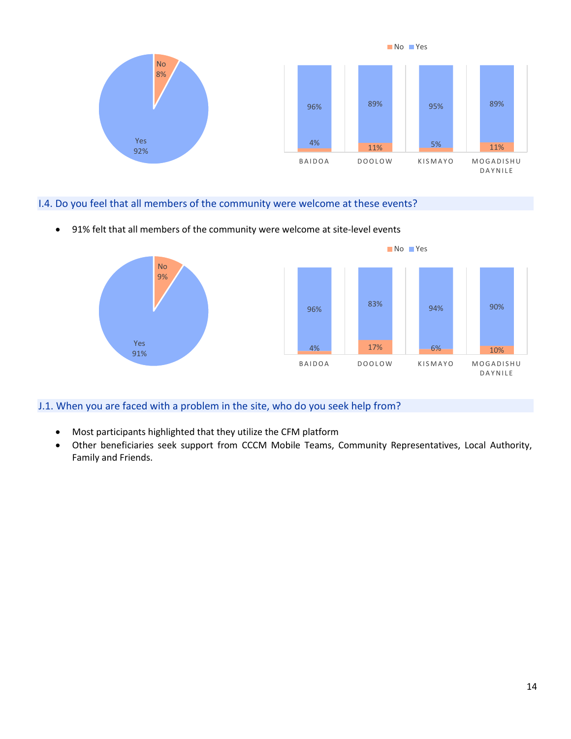

# I.4. Do you feel that all members of the community were welcome at these events?

• 91% felt that all members of the community were welcome at site-level events



# J.1. When you are faced with a problem in the site, who do you seek help from?

- Most participants highlighted that they utilize the CFM platform
- Other beneficiaries seek support from CCCM Mobile Teams, Community Representatives, Local Authority, Family and Friends.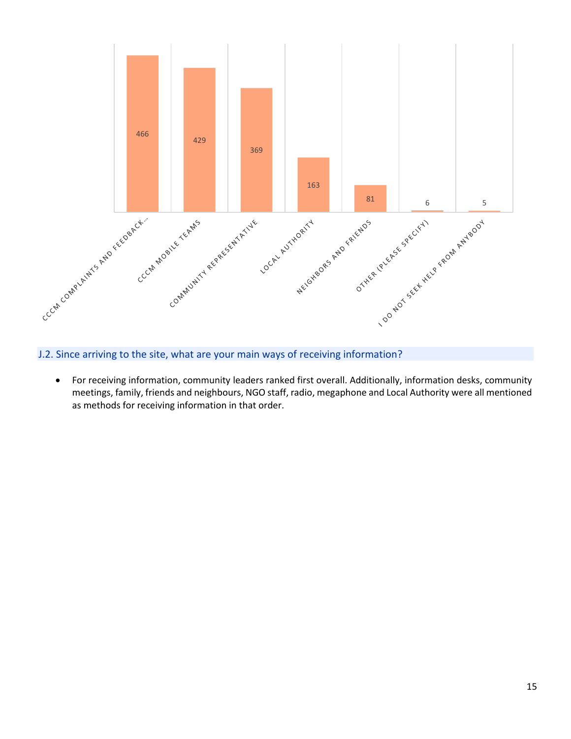

J.2. Since arriving to the site, what are your main ways of receiving information?

• For receiving information, community leaders ranked first overall. Additionally, information desks, community meetings, family, friends and neighbours, NGO staff, radio, megaphone and Local Authority were all mentioned as methods for receiving information in that order.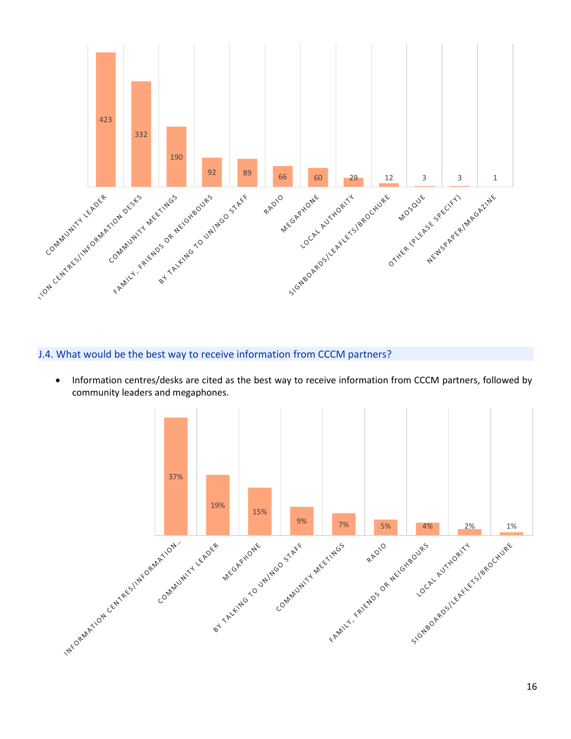

# J.4. What would be the best way to receive information from CCCM partners?

• Information centres/desks are cited as the best way to receive information from CCCM partners, followed by community leaders and megaphones.

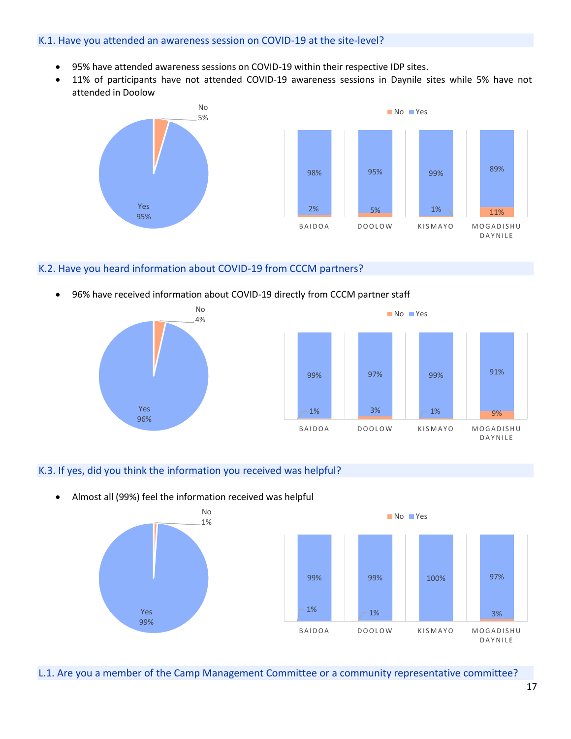#### K.1. Have you attended an awareness session on COVID-19 at the site-level?

- 95% have attended awareness sessions on COVID-19 within their respective IDP sites.
- 11% of participants have not attended COVID-19 awareness sessions in Daynile sites while 5% have not attended in Doolow



#### K.2. Have you heard information about COVID-19 from CCCM partners?

• 96% have received information about COVID-19 directly from CCCM partner staff





# K.3. If yes, did you think the information you received was helpful?

• Almost all (99%) feel the information received was helpful No



L.1. Are you a member of the Camp Management Committee or a community representative committee?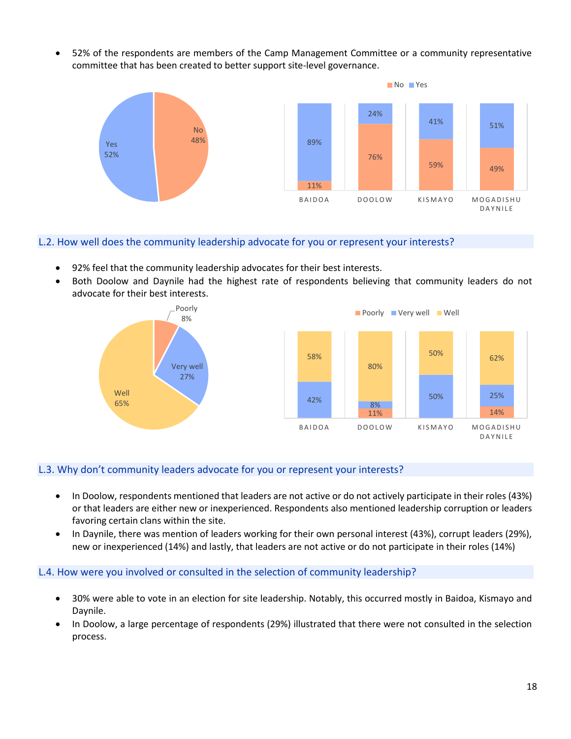• 52% of the respondents are members of the Camp Management Committee or a community representative committee that has been created to better support site-level governance.



#### L.2. How well does the community leadership advocate for you or represent your interests?

- 92% feel that the community leadership advocates for their best interests.
- Both Doolow and Daynile had the highest rate of respondents believing that community leaders do not advocate for their best interests.





## L.3. Why don't community leaders advocate for you or represent your interests?

- In Doolow, respondents mentioned that leaders are not active or do not actively participate in their roles (43%) or that leaders are either new or inexperienced. Respondents also mentioned leadership corruption or leaders favoring certain clans within the site.
- In Daynile, there was mention of leaders working for their own personal interest (43%), corrupt leaders (29%), new or inexperienced (14%) and lastly, that leaders are not active or do not participate in their roles (14%)

#### L.4. How were you involved or consulted in the selection of community leadership?

- 30% were able to vote in an election for site leadership. Notably, this occurred mostly in Baidoa, Kismayo and Daynile.
- In Doolow, a large percentage of respondents (29%) illustrated that there were not consulted in the selection process.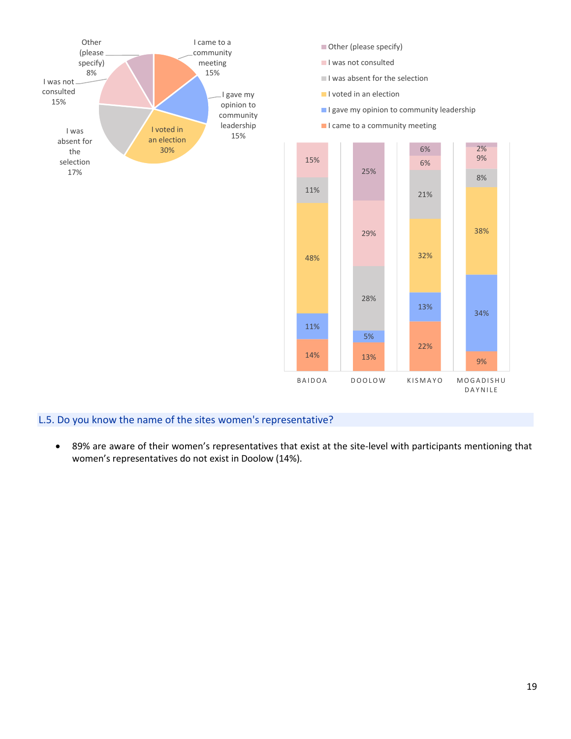

# L.5. Do you know the name of the sites women's representative?

• 89% are aware of their women's representatives that exist at the site-level with participants mentioning that women's representatives do not exist in Doolow (14%).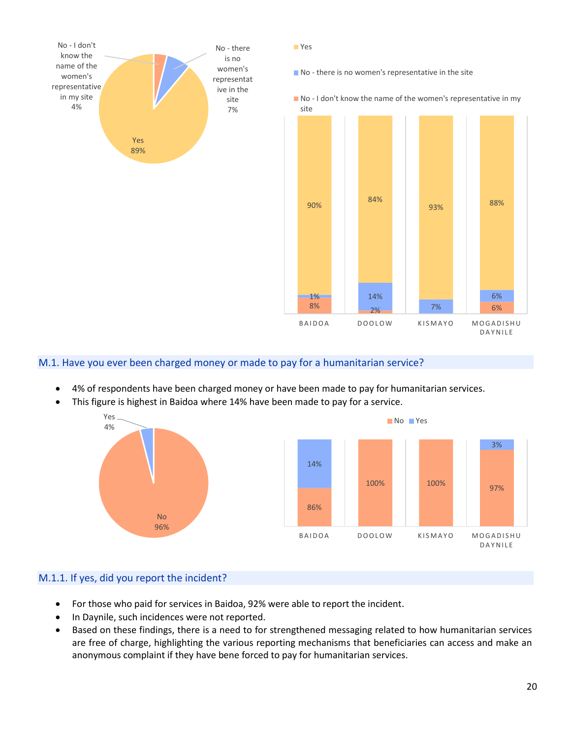

Yes

No - there is no women's representative in the site

No - I don't know the name of the women's representative in my



## M.1. Have you ever been charged money or made to pay for a humanitarian service?

- 4% of respondents have been charged money or have been made to pay for humanitarian services.
- This figure is highest in Baidoa where 14% have been made to pay for a service.



#### M.1.1. If yes, did you report the incident?

- For those who paid for services in Baidoa, 92% were able to report the incident.
- In Daynile, such incidences were not reported.
- Based on these findings, there is a need to for strengthened messaging related to how humanitarian services are free of charge, highlighting the various reporting mechanisms that beneficiaries can access and make an anonymous complaint if they have bene forced to pay for humanitarian services.